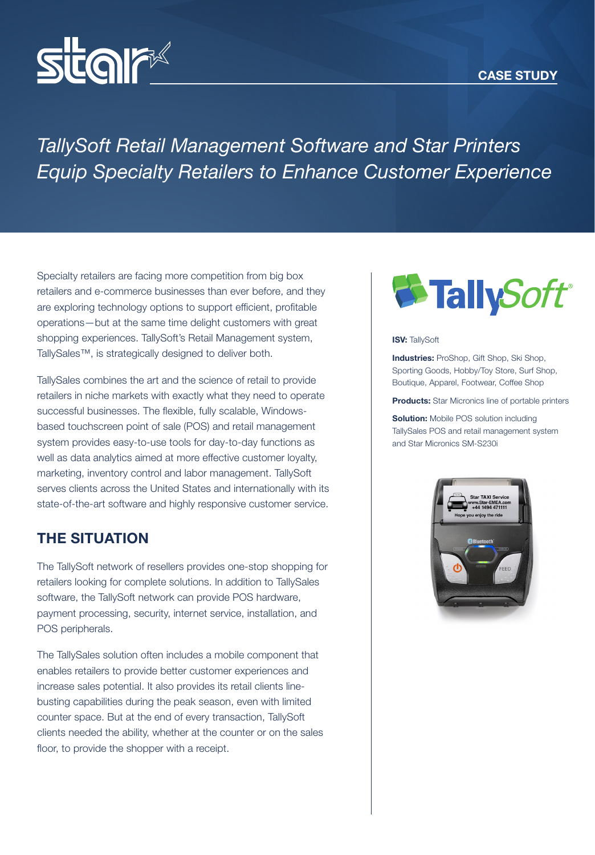



# *TallySoft Retail Management Software and Star Printers Equip Specialty Retailers to Enhance Customer Experience*

Specialty retailers are facing more competition from big box retailers and e-commerce businesses than ever before, and they are exploring technology options to support efficient, profitable operations—but at the same time delight customers with great shopping experiences. TallySoft's Retail Management system, TallySales™, is strategically designed to deliver both.

TallySales combines the art and the science of retail to provide retailers in niche markets with exactly what they need to operate successful businesses. The flexible, fully scalable, Windowsbased touchscreen point of sale (POS) and retail management system provides easy-to-use tools for day-to-day functions as well as data analytics aimed at more effective customer loyalty, marketing, inventory control and labor management. TallySoft serves clients across the United States and internationally with its state-of-the-art software and highly responsive customer service.

### THE SITUATION

The TallySoft network of resellers provides one-stop shopping for retailers looking for complete solutions. In addition to TallySales software, the TallySoft network can provide POS hardware, payment processing, security, internet service, installation, and POS peripherals.

The TallySales solution often includes a mobile component that enables retailers to provide better customer experiences and increase sales potential. It also provides its retail clients linebusting capabilities during the peak season, even with limited counter space. But at the end of every transaction, TallySoft clients needed the ability, whether at the counter or on the sales floor, to provide the shopper with a receipt.



#### **ISV: TallySoft**

**Industries:** ProShop, Gift Shop, Ski Shop, Sporting Goods, Hobby/Toy Store, Surf Shop, Boutique, Apparel, Footwear, Coffee Shop

**Products:** Star Micronics line of portable printers

**Solution:** Mobile POS solution including TallySales POS and retail management system and Star Micronics SM-S230i